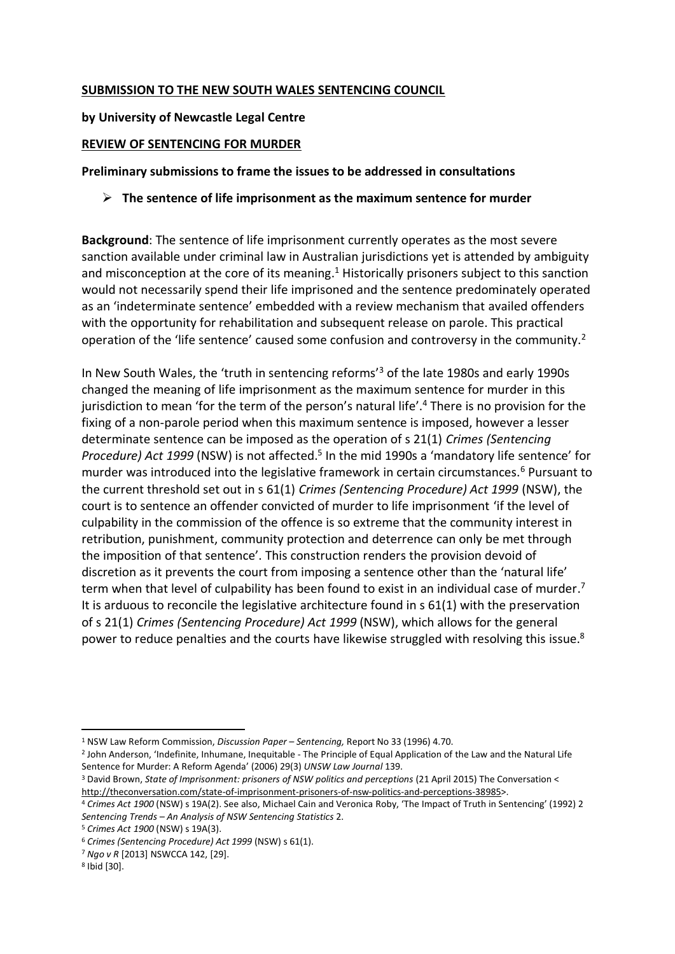# **SUBMISSION TO THE NEW SOUTH WALES SENTENCING COUNCIL**

# **by University of Newcastle Legal Centre**

# **REVIEW OF SENTENCING FOR MURDER**

# **Preliminary submissions to frame the issues to be addressed in consultations**

# ➢ **The sentence of life imprisonment as the maximum sentence for murder**

**Background**: The sentence of life imprisonment currently operates as the most severe sanction available under criminal law in Australian jurisdictions yet is attended by ambiguity and misconception at the core of its meaning.<sup>1</sup> Historically prisoners subject to this sanction would not necessarily spend their life imprisoned and the sentence predominately operated as an 'indeterminate sentence' embedded with a review mechanism that availed offenders with the opportunity for rehabilitation and subsequent release on parole. This practical operation of the 'life sentence' caused some confusion and controversy in the community.<sup>2</sup>

In New South Wales, the 'truth in sentencing reforms'<sup>3</sup> of the late 1980s and early 1990s changed the meaning of life imprisonment as the maximum sentence for murder in this jurisdiction to mean 'for the term of the person's natural life'.<sup>4</sup> There is no provision for the fixing of a non-parole period when this maximum sentence is imposed, however a lesser determinate sentence can be imposed as the operation of s 21(1) *Crimes (Sentencing*  Procedure) Act 1999 (NSW) is not affected.<sup>5</sup> In the mid 1990s a 'mandatory life sentence' for murder was introduced into the legislative framework in certain circumstances.<sup>6</sup> Pursuant to the current threshold set out in s 61(1) *Crimes (Sentencing Procedure) Act 1999* (NSW), the court is to sentence an offender convicted of murder to life imprisonment 'if the level of culpability in the commission of the offence is so extreme that the community interest in retribution, punishment, community protection and deterrence can only be met through the imposition of that sentence'. This construction renders the provision devoid of discretion as it prevents the court from imposing a sentence other than the 'natural life' term when that level of culpability has been found to exist in an individual case of murder.<sup>7</sup> It is arduous to reconcile the legislative architecture found in s 61(1) with the preservation of s 21(1) *Crimes (Sentencing Procedure) Act 1999* (NSW), which allows for the general power to reduce penalties and the courts have likewise struggled with resolving this issue.<sup>8</sup>

<sup>1</sup> NSW Law Reform Commission, *Discussion Paper – Sentencing,* Report No 33 (1996) 4.70.

<sup>2</sup> John Anderson, 'Indefinite, Inhumane, Inequitable - The Principle of Equal Application of the Law and the Natural Life Sentence for Murder: A Reform Agenda' (2006) 29(3) *UNSW Law Journal* 139.

<sup>&</sup>lt;sup>3</sup> David Brown, *State of Imprisonment: prisoners of NSW politics and perceptions (21 April 2015) The Conversation <* http://theconversation.com/state-of-imprisonment-prisoners-of-nsw-politics-and-perceptions-38985>.

<sup>4</sup> *Crimes Act 1900* (NSW) s 19A(2). See also, Michael Cain and Veronica Roby, 'The Impact of Truth in Sentencing' (1992) 2 *Sentencing Trends – An Analysis of NSW Sentencing Statistics* 2.

<sup>5</sup> *Crimes Act 1900* (NSW) s 19A(3).

<sup>6</sup> *Crimes (Sentencing Procedure) Act 1999* (NSW) s 61(1).

<sup>7</sup> *Ngo v R* [2013] NSWCCA 142, [29].

<sup>8</sup> Ibid [30].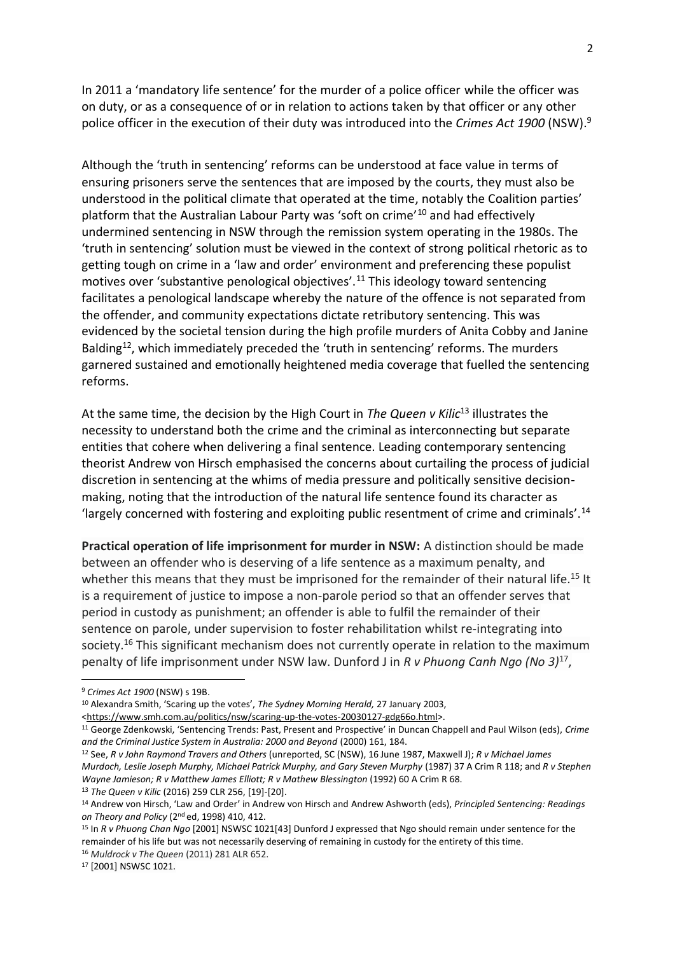In 2011 a 'mandatory life sentence' for the murder of a police officer while the officer was on duty, or as a consequence of or in relation to actions taken by that officer or any other police officer in the execution of their duty was introduced into the *Crimes Act 1900* (NSW).<sup>9</sup>

Although the 'truth in sentencing' reforms can be understood at face value in terms of ensuring prisoners serve the sentences that are imposed by the courts, they must also be understood in the political climate that operated at the time, notably the Coalition parties' platform that the Australian Labour Party was 'soft on crime'<sup>10</sup> and had effectively undermined sentencing in NSW through the remission system operating in the 1980s. The 'truth in sentencing' solution must be viewed in the context of strong political rhetoric as to getting tough on crime in a 'law and order' environment and preferencing these populist motives over 'substantive penological objectives'.<sup>11</sup> This ideology toward sentencing facilitates a penological landscape whereby the nature of the offence is not separated from the offender, and community expectations dictate retributory sentencing. This was evidenced by the societal tension during the high profile murders of Anita Cobby and Janine Balding<sup>12</sup>, which immediately preceded the 'truth in sentencing' reforms. The murders garnered sustained and emotionally heightened media coverage that fuelled the sentencing reforms.

At the same time, the decision by the High Court in *The Queen v Kilic*<sup>13</sup> illustrates the necessity to understand both the crime and the criminal as interconnecting but separate entities that cohere when delivering a final sentence. Leading contemporary sentencing theorist Andrew von Hirsch emphasised the concerns about curtailing the process of judicial discretion in sentencing at the whims of media pressure and politically sensitive decisionmaking, noting that the introduction of the natural life sentence found its character as 'largely concerned with fostering and exploiting public resentment of crime and criminals'.<sup>14</sup>

**Practical operation of life imprisonment for murder in NSW:** A distinction should be made between an offender who is deserving of a life sentence as a maximum penalty, and whether this means that they must be imprisoned for the remainder of their natural life.<sup>15</sup> It is a requirement of justice to impose a non-parole period so that an offender serves that period in custody as punishment; an offender is able to fulfil the remainder of their sentence on parole, under supervision to foster rehabilitation whilst re-integrating into society.<sup>16</sup> This significant mechanism does not currently operate in relation to the maximum penalty of life imprisonment under NSW law. Dunford J in *R v Phuong Canh Ngo (No 3)*<sup>17</sup> ,

<sup>9</sup> *Crimes Act 1900* (NSW) s 19B.

<sup>10</sup> Alexandra Smith, 'Scaring up the votes', *The Sydney Morning Herald,* 27 January 2003,

<sup>&</sup>lt;https://www.smh.com.au/politics/nsw/scaring-up-the-votes-20030127-gdg66o.html>.

<sup>11</sup> George Zdenkowski, 'Sentencing Trends: Past, Present and Prospective' in Duncan Chappell and Paul Wilson (eds), *Crime and the Criminal Justice System in Australia: 2000 and Beyond* (2000) 161, 184.

<sup>12</sup> See, *R v John Raymond Travers and Others* (unreported, SC (NSW), 16 June 1987, Maxwell J); *R v Michael James Murdoch, Leslie Joseph Murphy, Michael Patrick Murphy, and Gary Steven Murphy* (1987) 37 A Crim R 118; and *R v Stephen Wayne Jamieson; R v Matthew James Elliott; R v Mathew Blessington (1992) 60 A Crim R 68.* <sup>13</sup> *The Queen v Kilic* (2016) 259 CLR 256, [19]-[20].

<sup>14</sup> Andrew von Hirsch, 'Law and Order' in Andrew von Hirsch and Andrew Ashworth (eds), *Principled Sentencing: Readings on Theory and Policy* (2nd ed, 1998) 410, 412.

<sup>15</sup> In *R v Phuong Chan Ngo* [2001] NSWSC 1021[43] Dunford J expressed that Ngo should remain under sentence for the remainder of his life but was not necessarily deserving of remaining in custody for the entirety of this time. <sup>16</sup> *Muldrock v The Queen* (2011) 281 ALR 652.

<sup>17</sup> [2001] NSWSC 1021.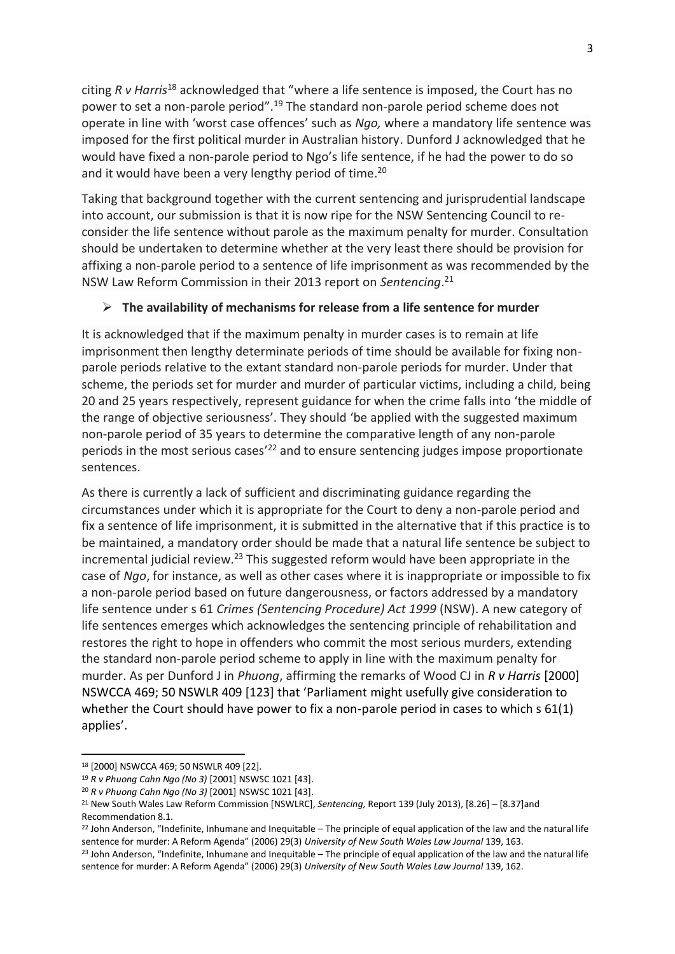citing *R v Harris*<sup>18</sup> acknowledged that "where a life sentence is imposed, the Court has no power to set a non-parole period".<sup>19</sup> The standard non-parole period scheme does not operate in line with 'worst case offences' such as *Ngo,* where a mandatory life sentence was imposed for the first political murder in Australian history. Dunford J acknowledged that he would have fixed a non-parole period to Ngo's life sentence, if he had the power to do so and it would have been a very lengthy period of time.<sup>20</sup>

Taking that background together with the current sentencing and jurisprudential landscape into account, our submission is that it is now ripe for the NSW Sentencing Council to reconsider the life sentence without parole as the maximum penalty for murder. Consultation should be undertaken to determine whether at the very least there should be provision for affixing a non-parole period to a sentence of life imprisonment as was recommended by the NSW Law Reform Commission in their 2013 report on *Sentencing*. 21

### ➢ **The availability of mechanisms for release from a life sentence for murder**

It is acknowledged that if the maximum penalty in murder cases is to remain at life imprisonment then lengthy determinate periods of time should be available for fixing nonparole periods relative to the extant standard non-parole periods for murder. Under that scheme, the periods set for murder and murder of particular victims, including a child, being 20 and 25 years respectively, represent guidance for when the crime falls into 'the middle of the range of objective seriousness'. They should 'be applied with the suggested maximum non-parole period of 35 years to determine the comparative length of any non-parole periods in the most serious cases<sup>'22</sup> and to ensure sentencing judges impose proportionate sentences.

As there is currently a lack of sufficient and discriminating guidance regarding the circumstances under which it is appropriate for the Court to deny a non-parole period and fix a sentence of life imprisonment, it is submitted in the alternative that if this practice is to be maintained, a mandatory order should be made that a natural life sentence be subject to incremental judicial review.<sup>23</sup> This suggested reform would have been appropriate in the case of *Ngo*, for instance, as well as other cases where it is inappropriate or impossible to fix a non-parole period based on future dangerousness, or factors addressed by a mandatory life sentence under s 61 *Crimes (Sentencing Procedure) Act 1999* (NSW). A new category of life sentences emerges which acknowledges the sentencing principle of rehabilitation and restores the right to hope in offenders who commit the most serious murders, extending the standard non-parole period scheme to apply in line with the maximum penalty for murder. As per Dunford J in *Phuong*, affirming the remarks of Wood CJ in *R v Harris* [2000] NSWCCA 469; 50 NSWLR 409 [123] that 'Parliament might usefully give consideration to whether the Court should have power to fix a non-parole period in cases to which s 61(1) applies'.

<sup>18</sup> [2000] NSWCCA 469; 50 NSWLR 409 [22].

<sup>19</sup> *R v Phuong Cahn Ngo (No 3)* [2001] NSWSC 1021 [43].

<sup>20</sup> *R v Phuong Cahn Ngo (No 3)* [2001] NSWSC 1021 [43].

<sup>21</sup> New South Wales Law Reform Commission [NSWLRC], *Sentencing,* Report 139 (July 2013), [8.26] – [8.37]and Recommendation 8.1.

 $22$  John Anderson, "Indefinite, Inhumane and Inequitable – The principle of equal application of the law and the natural life sentence for murder: A Reform Agenda" (2006) 29(3) *University of New South Wales Law Journal* 139, 163.

 $23$  John Anderson, "Indefinite, Inhumane and Inequitable – The principle of equal application of the law and the natural life sentence for murder: A Reform Agenda" (2006) 29(3) *University of New South Wales Law Journal* 139, 162.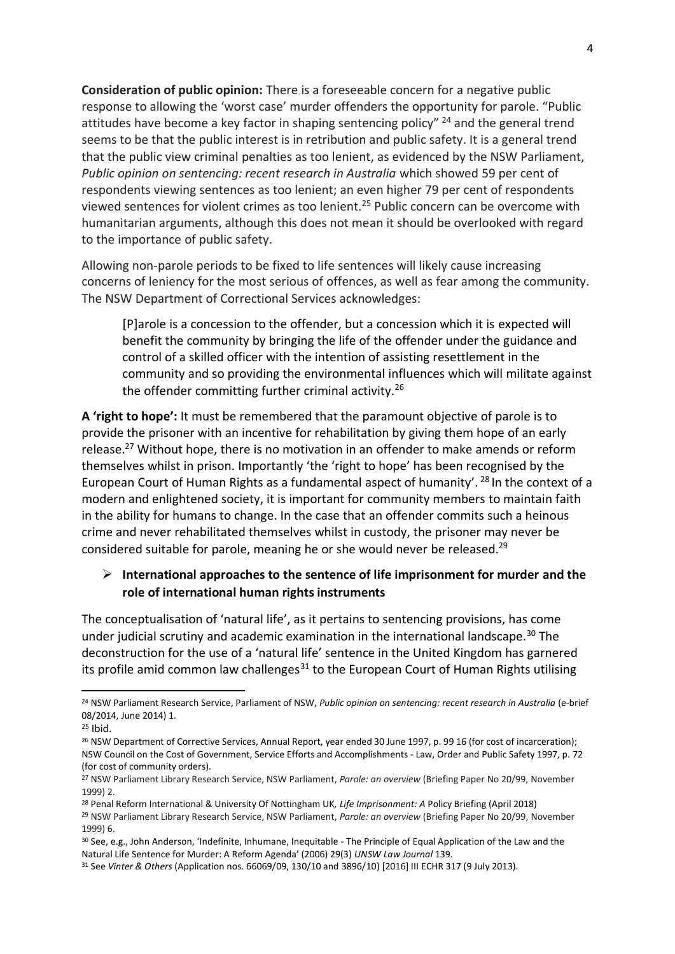**Consideration of public opinion:** There is a foreseeable concern for a negative public response to allowing the 'worst case' murder offenders the opportunity for parole. "Public attitudes have become a key factor in shaping sentencing policy" <sup>24</sup> and the general trend seems to be that the public interest is in retribution and public safety. It is a general trend that the public view criminal penalties as too lenient, as evidenced by the NSW Parliament, *Public opinion on sentencing: recent research in Australia* which showed 59 per cent of respondents viewing sentences as too lenient; an even higher 79 per cent of respondents viewed sentences for violent crimes as too lenient.<sup>25</sup> Public concern can be overcome with humanitarian arguments, although this does not mean it should be overlooked with regard to the importance of public safety.

Allowing non-parole periods to be fixed to life sentences will likely cause increasing concerns of leniency for the most serious of offences, as well as fear among the community. The NSW Department of Correctional Services acknowledges:

[P]arole is a concession to the offender, but a concession which it is expected will benefit the community by bringing the life of the offender under the guidance and control of a skilled officer with the intention of assisting resettlement in the community and so providing the environmental influences which will militate against the offender committing further criminal activity.<sup>26</sup>

**A 'right to hope':** It must be remembered that the paramount objective of parole is to provide the prisoner with an incentive for rehabilitation by giving them hope of an early release.<sup>27</sup> Without hope, there is no motivation in an offender to make amends or reform themselves whilst in prison. Importantly 'the 'right to hope' has been recognised by the European Court of Human Rights as a fundamental aspect of humanity'. <sup>28</sup> In the context of a modern and enlightened society, it is important for community members to maintain faith in the ability for humans to change. In the case that an offender commits such a heinous crime and never rehabilitated themselves whilst in custody, the prisoner may never be considered suitable for parole, meaning he or she would never be released.<sup>29</sup>

## ➢ **International approaches to the sentence of life imprisonment for murder and the role of international human rights instruments**

The conceptualisation of 'natural life', as it pertains to sentencing provisions, has come under judicial scrutiny and academic examination in the international landscape.<sup>30</sup> The deconstruction for the use of a 'natural life' sentence in the United Kingdom has garnered its profile amid common law challenges<sup>31</sup> to the European Court of Human Rights utilising

<sup>24</sup> NSW Parliament Research Service, Parliament of NSW, *Public opinion on sentencing: recent research in Australia* (e-brief 08/2014, June 2014) 1.

 $25$  Ibid.

<sup>&</sup>lt;sup>26</sup> NSW Department of Corrective Services, Annual Report, year ended 30 June 1997, p. 99 16 (for cost of incarceration); NSW Council on the Cost of Government, Service Efforts and Accomplishments - Law, Order and Public Safety 1997, p. 72 (for cost of community orders).

<sup>27</sup> NSW Parliament Library Research Service, NSW Parliament, *Parole: an overview* (Briefing Paper No 20/99, November 1999) 2.

<sup>28</sup> Penal Reform International & University Of Nottingham UK*, Life Imprisonment: A* Policy Briefing (April 2018)

<sup>29</sup> NSW Parliament Library Research Service, NSW Parliament, *Parole: an overview* (Briefing Paper No 20/99, November 1999) 6.

<sup>30</sup> See, e.g., John Anderson, 'Indefinite, Inhumane, Inequitable - The Principle of Equal Application of the Law and the Natural Life Sentence for Murder: A Reform Agenda' (2006) 29(3) *UNSW Law Journal* 139.

<sup>31</sup> See *Vinter & Others* (Application nos. 66069/09, 130/10 and 3896/10) [2016] III ECHR 317 (9 July 2013).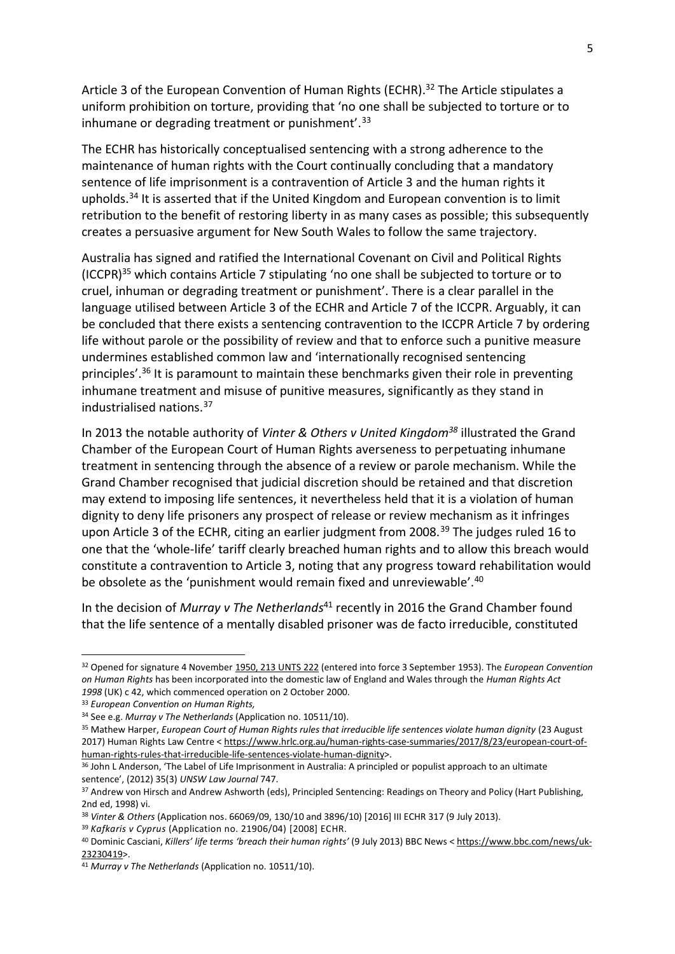Article 3 of the European Convention of Human Rights (ECHR).<sup>32</sup> The Article stipulates a uniform prohibition on torture, providing that 'no one shall be subjected to torture or to inhumane or degrading treatment or punishment'.<sup>33</sup>

The ECHR has historically conceptualised sentencing with a strong adherence to the maintenance of human rights with the Court continually concluding that a mandatory sentence of life imprisonment is a contravention of Article 3 and the human rights it upholds.<sup>34</sup> It is asserted that if the United Kingdom and European convention is to limit retribution to the benefit of restoring liberty in as many cases as possible; this subsequently creates a persuasive argument for New South Wales to follow the same trajectory.

Australia has signed and ratified the International Covenant on Civil and Political Rights (ICCPR)<sup>35</sup> which contains Article 7 stipulating 'no one shall be subjected to torture or to cruel, inhuman or degrading treatment or punishment'. There is a clear parallel in the language utilised between Article 3 of the ECHR and Article 7 of the ICCPR. Arguably, it can be concluded that there exists a sentencing contravention to the ICCPR Article 7 by ordering life without parole or the possibility of review and that to enforce such a punitive measure undermines established common law and 'internationally recognised sentencing principles'.<sup>36</sup> It is paramount to maintain these benchmarks given their role in preventing inhumane treatment and misuse of punitive measures, significantly as they stand in industrialised nations.<sup>37</sup>

In 2013 the notable authority of *Vinter & Others v United Kingdom<sup>38</sup>* illustrated the Grand Chamber of the European Court of Human Rights averseness to perpetuating inhumane treatment in sentencing through the absence of a review or parole mechanism. While the Grand Chamber recognised that judicial discretion should be retained and that discretion may extend to imposing life sentences, it nevertheless held that it is a violation of human dignity to deny life prisoners any prospect of release or review mechanism as it infringes upon Article 3 of the ECHR, citing an earlier judgment from 2008.<sup>39</sup> The judges ruled 16 to one that the 'whole-life' tariff clearly breached human rights and to allow this breach would constitute a contravention to Article 3, noting that any progress toward rehabilitation would be obsolete as the 'punishment would remain fixed and unreviewable'.<sup>40</sup>

In the decision of *Murray v The Netherlands*<sup>41</sup> recently in 2016 the Grand Chamber found that the life sentence of a mentally disabled prisoner was de facto irreducible, constituted

<sup>32</sup> Opened for signature 4 November 1950, 213 UNTS 222 (entered into force 3 September 1953). The *European Convention on Human Rights* has been incorporated into the domestic law of England and Wales through the *Human Rights Act 1998* (UK) c 42, which commenced operation on 2 October 2000.

<sup>33</sup> *European Convention on Human Rights,* 

<sup>34</sup> See e.g. *Murray v The Netherlands* (Application no. 10511/10).

<sup>&</sup>lt;sup>35</sup> Mathew Harper, *European Court of Human Rights rules that irreducible life sentences violate human dignity (23 August* 2017) Human Rights Law Centre < https://www.hrlc.org.au/human-rights-case-summaries/2017/8/23/european-court-ofhuman-rights-rules-that-irreducible-life-sentences-violate-human-dignity>.

<sup>&</sup>lt;sup>36</sup> John L Anderson, 'The Label of Life Imprisonment in Australia: A principled or populist approach to an ultimate sentence', (2012) 35(3) *UNSW Law Journal* 747.

<sup>37</sup> Andrew von Hirsch and Andrew Ashworth (eds), Principled Sentencing: Readings on Theory and Policy (Hart Publishing, 2nd ed, 1998) vi.

<sup>38</sup> *Vinter & Others* (Application nos. 66069/09, 130/10 and 3896/10) [2016] III ECHR 317 (9 July 2013).

<sup>39</sup> *Kafkaris v Cyprus* (Application no. 21906/04) [2008] ECHR.

<sup>40</sup> Dominic Casciani, *Killers' life terms 'breach their human rights'* (9 July 2013) BBC News < https://www.bbc.com/news/uk-23230419>.

<sup>41</sup> *Murray v The Netherlands* (Application no. 10511/10).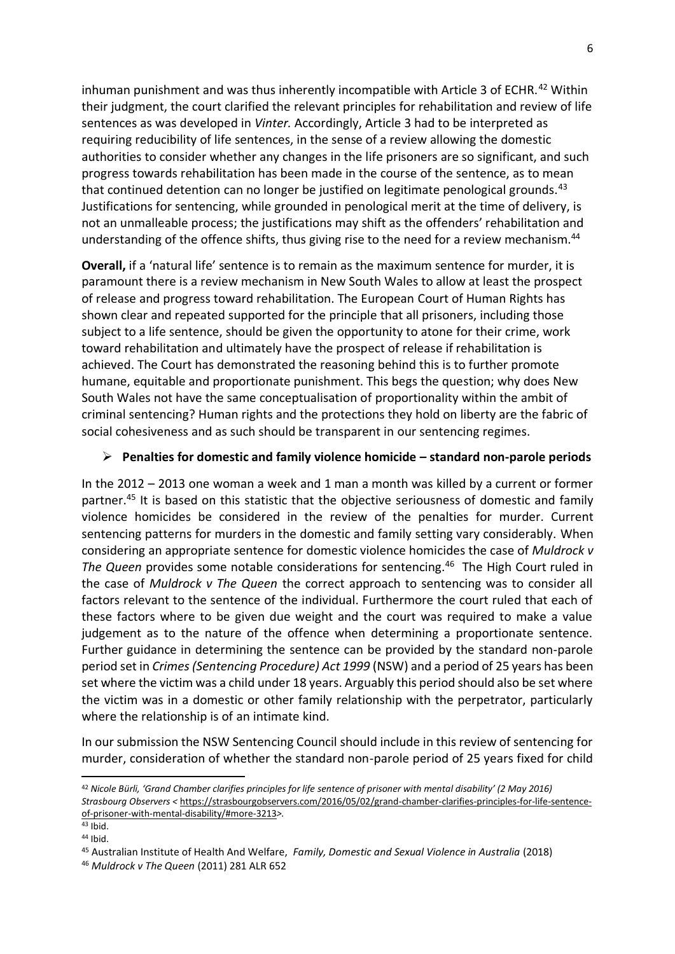inhuman punishment and was thus inherently incompatible with Article 3 of ECHR.<sup>42</sup> Within their judgment, the court clarified the relevant principles for rehabilitation and review of life sentences as was developed in *Vinter.* Accordingly, Article 3 had to be interpreted as requiring reducibility of life sentences, in the sense of a review allowing the domestic authorities to consider whether any changes in the life prisoners are so significant, and such progress towards rehabilitation has been made in the course of the sentence, as to mean that continued detention can no longer be justified on legitimate penological grounds.<sup>43</sup> Justifications for sentencing, while grounded in penological merit at the time of delivery, is not an unmalleable process; the justifications may shift as the offenders' rehabilitation and understanding of the offence shifts, thus giving rise to the need for a review mechanism.<sup>44</sup>

**Overall,** if a 'natural life' sentence is to remain as the maximum sentence for murder, it is paramount there is a review mechanism in New South Wales to allow at least the prospect of release and progress toward rehabilitation. The European Court of Human Rights has shown clear and repeated supported for the principle that all prisoners, including those subject to a life sentence, should be given the opportunity to atone for their crime, work toward rehabilitation and ultimately have the prospect of release if rehabilitation is achieved. The Court has demonstrated the reasoning behind this is to further promote humane, equitable and proportionate punishment. This begs the question; why does New South Wales not have the same conceptualisation of proportionality within the ambit of criminal sentencing? Human rights and the protections they hold on liberty are the fabric of social cohesiveness and as such should be transparent in our sentencing regimes.

### ➢ **Penalties for domestic and family violence homicide – standard non-parole periods**

In the 2012 – 2013 one woman a week and 1 man a month was killed by a current or former partner.<sup>45</sup> It is based on this statistic that the objective seriousness of domestic and family violence homicides be considered in the review of the penalties for murder. Current sentencing patterns for murders in the domestic and family setting vary considerably. When considering an appropriate sentence for domestic violence homicides the case of *Muldrock v*  The Queen provides some notable considerations for sentencing.<sup>46</sup> The High Court ruled in the case of *Muldrock v The Queen* the correct approach to sentencing was to consider all factors relevant to the sentence of the individual. Furthermore the court ruled that each of these factors where to be given due weight and the court was required to make a value judgement as to the nature of the offence when determining a proportionate sentence. Further guidance in determining the sentence can be provided by the standard non-parole period set in *Crimes (Sentencing Procedure) Act 1999* (NSW) and a period of 25 years has been set where the victim was a child under 18 years. Arguably this period should also be set where the victim was in a domestic or other family relationship with the perpetrator, particularly where the relationship is of an intimate kind.

In our submission the NSW Sentencing Council should include in this review of sentencing for murder, consideration of whether the standard non-parole period of 25 years fixed for child

<sup>42</sup> *Nicole Bürli, 'Grand Chamber clarifies principles for life sentence of prisoner with mental disability' (2 May 2016) Strasbourg Observers <* https://strasbourgobservers.com/2016/05/02/grand-chamber-clarifies-principles-for-life-sentenceof-prisoner-with-mental-disability/#more-3213*>.* 

<sup>43</sup> Ibid.

<sup>44</sup> Ibid.

<sup>45</sup> Australian Institute of Health And Welfare, *Family, Domestic and Sexual Violence in Australia* (2018)

<sup>46</sup> *Muldrock v The Queen* (2011) 281 ALR 652